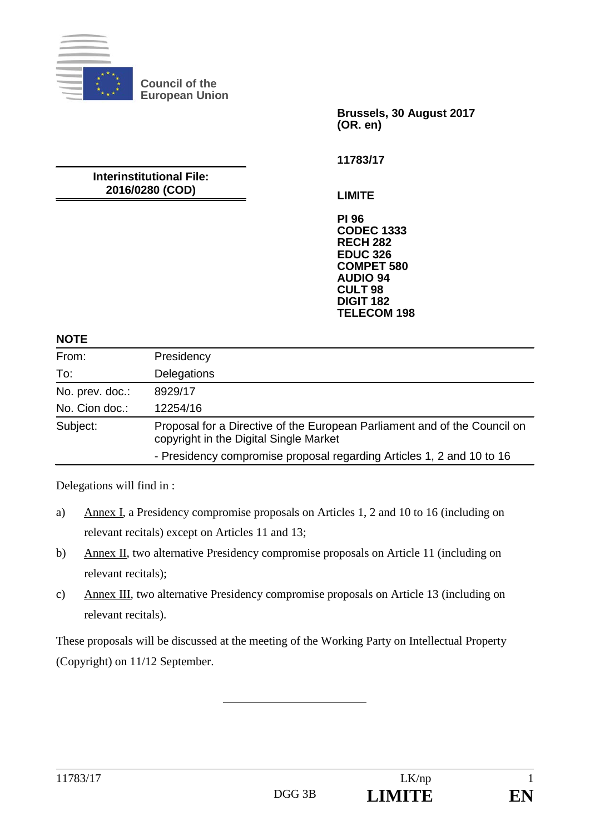

**Council of the European Union**

**Interinstitutional File: 2016/0280 (COD)**

**Brussels, 30 August 2017 (OR. en)**

**11783/17**

**LIMITE**

**PI 96 CODEC 1333 RECH 282 EDUC 326 COMPET 580 AUDIO 94 CULT 98 DIGIT 182 TELECOM 198**

| <b>NOTE</b>     |                                                                                                                     |
|-----------------|---------------------------------------------------------------------------------------------------------------------|
| From:           | Presidency                                                                                                          |
| To:             | Delegations                                                                                                         |
| No. prev. doc.: | 8929/17                                                                                                             |
| No. Cion doc.:  | 12254/16                                                                                                            |
| Subject:        | Proposal for a Directive of the European Parliament and of the Council on<br>copyright in the Digital Single Market |
|                 | - Presidency compromise proposal regarding Articles 1, 2 and 10 to 16                                               |

Delegations will find in :

- a) Annex I, a Presidency compromise proposals on Articles 1, 2 and 10 to 16 (including on relevant recitals) except on Articles 11 and 13;
- b) Annex II, two alternative Presidency compromise proposals on Article 11 (including on relevant recitals);
- c) Annex III, two alternative Presidency compromise proposals on Article 13 (including on relevant recitals).

These proposals will be discussed at the meeting of the Working Party on Intellectual Property (Copyright) on 11/12 September.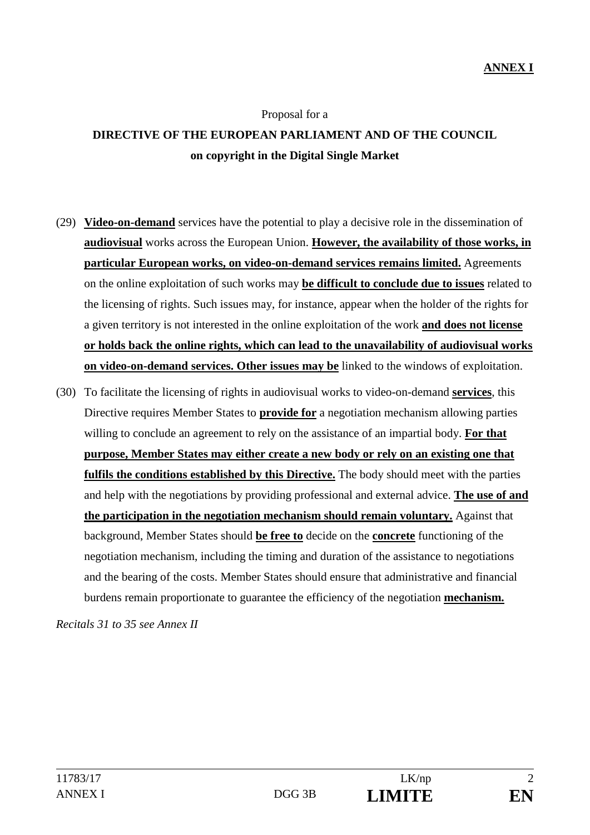# Proposal for a **DIRECTIVE OF THE EUROPEAN PARLIAMENT AND OF THE COUNCIL on copyright in the Digital Single Market**

- (29) **Video-on-demand** services have the potential to play a decisive role in the dissemination of **audiovisual** works across the European Union. **However, the availability of those works, in particular European works, on video-on-demand services remains limited.** Agreements on the online exploitation of such works may **be difficult to conclude due to issues** related to the licensing of rights. Such issues may, for instance, appear when the holder of the rights for a given territory is not interested in the online exploitation of the work **and does not license or holds back the online rights, which can lead to the unavailability of audiovisual works on video-on-demand services. Other issues may be** linked to the windows of exploitation.
- (30) To facilitate the licensing of rights in audiovisual works to video-on-demand **services**, this Directive requires Member States to **provide for** a negotiation mechanism allowing parties willing to conclude an agreement to rely on the assistance of an impartial body. **For that purpose, Member States may either create a new body or rely on an existing one that fulfils the conditions established by this Directive.** The body should meet with the parties and help with the negotiations by providing professional and external advice. **The use of and the participation in the negotiation mechanism should remain voluntary.** Against that background, Member States should **be free to** decide on the **concrete** functioning of the negotiation mechanism, including the timing and duration of the assistance to negotiations and the bearing of the costs. Member States should ensure that administrative and financial burdens remain proportionate to guarantee the efficiency of the negotiation **mechanism.**

*Recitals 31 to 35 see Annex II*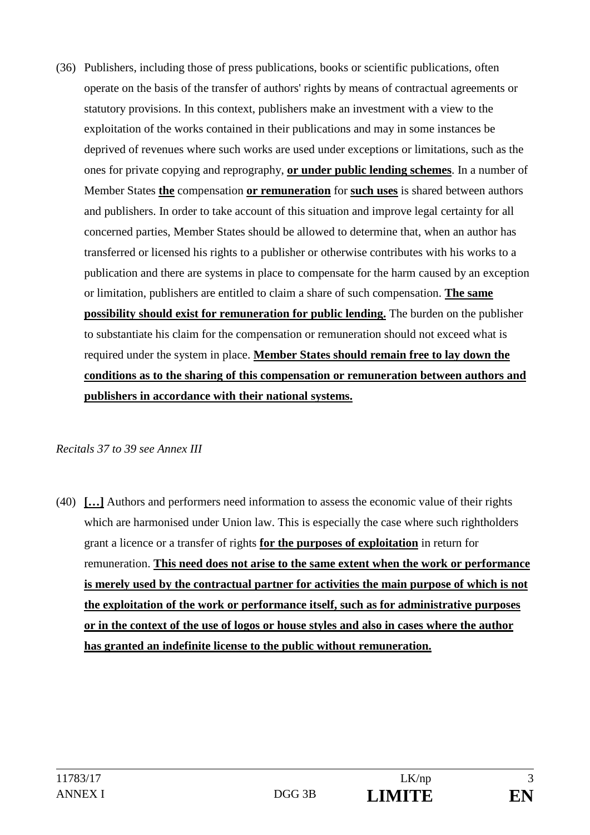(36) Publishers, including those of press publications, books or scientific publications, often operate on the basis of the transfer of authors' rights by means of contractual agreements or statutory provisions. In this context, publishers make an investment with a view to the exploitation of the works contained in their publications and may in some instances be deprived of revenues where such works are used under exceptions or limitations, such as the ones for private copying and reprography, **or under public lending schemes**. In a number of Member States **the** compensation **or remuneration** for **such uses** is shared between authors and publishers. In order to take account of this situation and improve legal certainty for all concerned parties, Member States should be allowed to determine that, when an author has transferred or licensed his rights to a publisher or otherwise contributes with his works to a publication and there are systems in place to compensate for the harm caused by an exception or limitation, publishers are entitled to claim a share of such compensation. **The same possibility should exist for remuneration for public lending.** The burden on the publisher to substantiate his claim for the compensation or remuneration should not exceed what is required under the system in place. **Member States should remain free to lay down the conditions as to the sharing of this compensation or remuneration between authors and publishers in accordance with their national systems.**

## *Recitals 37 to 39 see Annex III*

(40) **[…]** Authors and performers need information to assess the economic value of their rights which are harmonised under Union law. This is especially the case where such rightholders grant a licence or a transfer of rights **for the purposes of exploitation** in return for remuneration. **This need does not arise to the same extent when the work or performance is merely used by the contractual partner for activities the main purpose of which is not the exploitation of the work or performance itself, such as for administrative purposes or in the context of the use of logos or house styles and also in cases where the author has granted an indefinite license to the public without remuneration.**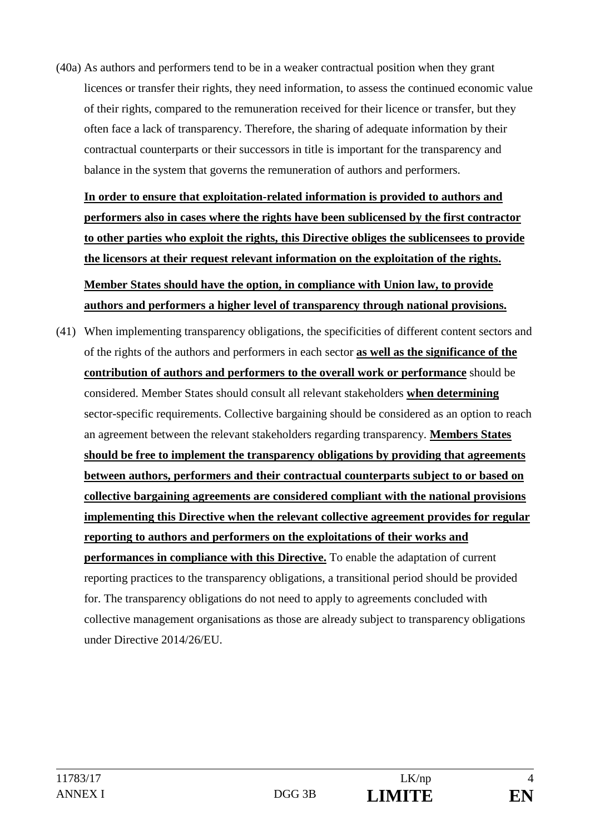(40a) As authors and performers tend to be in a weaker contractual position when they grant licences or transfer their rights, they need information, to assess the continued economic value of their rights, compared to the remuneration received for their licence or transfer, but they often face a lack of transparency. Therefore, the sharing of adequate information by their contractual counterparts or their successors in title is important for the transparency and balance in the system that governs the remuneration of authors and performers.

**In order to ensure that exploitation-related information is provided to authors and performers also in cases where the rights have been sublicensed by the first contractor to other parties who exploit the rights, this Directive obliges the sublicensees to provide the licensors at their request relevant information on the exploitation of the rights. Member States should have the option, in compliance with Union law, to provide authors and performers a higher level of transparency through national provisions.** 

(41) When implementing transparency obligations, the specificities of different content sectors and of the rights of the authors and performers in each sector **as well as the significance of the contribution of authors and performers to the overall work or performance** should be considered. Member States should consult all relevant stakeholders **when determining** sector-specific requirements. Collective bargaining should be considered as an option to reach an agreement between the relevant stakeholders regarding transparency. **Members States should be free to implement the transparency obligations by providing that agreements between authors, performers and their contractual counterparts subject to or based on collective bargaining agreements are considered compliant with the national provisions implementing this Directive when the relevant collective agreement provides for regular reporting to authors and performers on the exploitations of their works and performances in compliance with this Directive.** To enable the adaptation of current reporting practices to the transparency obligations, a transitional period should be provided for. The transparency obligations do not need to apply to agreements concluded with collective management organisations as those are already subject to transparency obligations under Directive 2014/26/EU.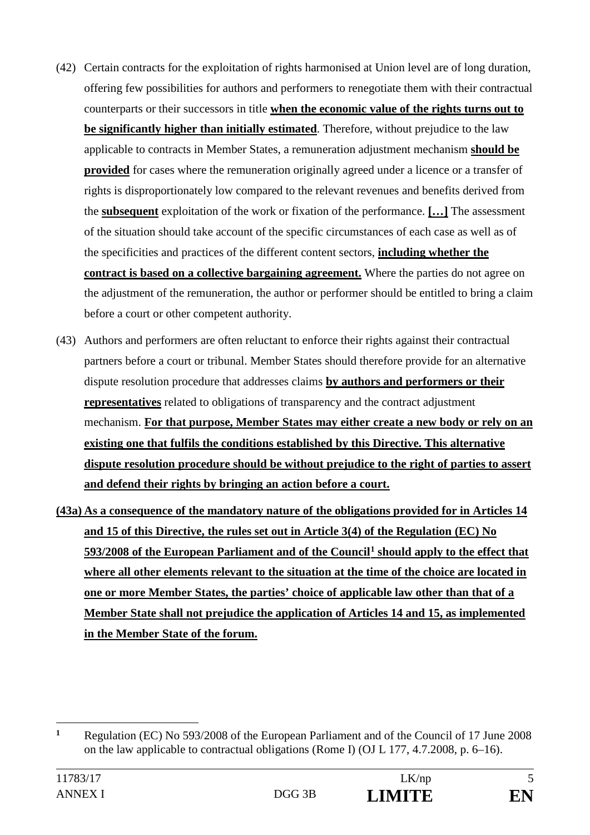- (42) Certain contracts for the exploitation of rights harmonised at Union level are of long duration, offering few possibilities for authors and performers to renegotiate them with their contractual counterparts or their successors in title **when the economic value of the rights turns out to be significantly higher than initially estimated**. Therefore, without prejudice to the law applicable to contracts in Member States, a remuneration adjustment mechanism **should be provided** for cases where the remuneration originally agreed under a licence or a transfer of rights is disproportionately low compared to the relevant revenues and benefits derived from the **subsequent** exploitation of the work or fixation of the performance. **[…]** The assessment of the situation should take account of the specific circumstances of each case as well as of the specificities and practices of the different content sectors, **including whether the contract is based on a collective bargaining agreement.** Where the parties do not agree on the adjustment of the remuneration, the author or performer should be entitled to bring a claim before a court or other competent authority.
- (43) Authors and performers are often reluctant to enforce their rights against their contractual partners before a court or tribunal. Member States should therefore provide for an alternative dispute resolution procedure that addresses claims **by authors and performers or their representatives** related to obligations of transparency and the contract adjustment mechanism. **For that purpose, Member States may either create a new body or rely on an existing one that fulfils the conditions established by this Directive. This alternative dispute resolution procedure should be without prejudice to the right of parties to assert and defend their rights by bringing an action before a court.**
- **(43a) As a consequence of the mandatory nature of the obligations provided for in Articles 14 and 15 of this Directive, the rules set out in Article 3(4) of the Regulation (EC) No 593/2008 of the European Parliament and of the Council1 should apply to the effect that where all other elements relevant to the situation at the time of the choice are located in one or more Member States, the parties' choice of applicable law other than that of a Member State shall not prejudice the application of Articles 14 and 15, as implemented in the Member State of the forum.**

 $\mathbf{1}$ **<sup>1</sup>** Regulation (EC) No 593/2008 of the European Parliament and of the Council of 17 June 2008 on the law applicable to contractual obligations (Rome I) (OJ L 177, 4.7.2008, p. 6–16).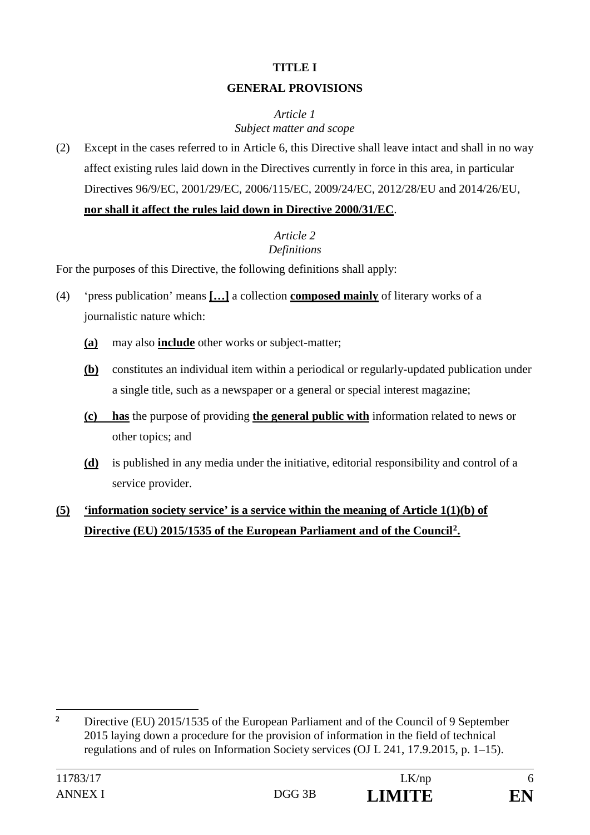# **TITLE I**

# **GENERAL PROVISIONS**

# *Article 1 Subject matter and scope*

(2) Except in the cases referred to in Article 6, this Directive shall leave intact and shall in no way affect existing rules laid down in the Directives currently in force in this area, in particular Directives 96/9/EC, 2001/29/EC, 2006/115/EC, 2009/24/EC, 2012/28/EU and 2014/26/EU, **nor shall it affect the rules laid down in Directive 2000/31/EC**.

# *Article 2 Definitions*

For the purposes of this Directive, the following definitions shall apply:

- (4) 'press publication' means **[…]** a collection **composed mainly** of literary works of a journalistic nature which:
	- **(a)** may also **include** other works or subject-matter;
	- **(b)** constitutes an individual item within a periodical or regularly-updated publication under a single title, such as a newspaper or a general or special interest magazine;
	- **(c) has** the purpose of providing **the general public with** information related to news or other topics; and
	- **(d)** is published in any media under the initiative, editorial responsibility and control of a service provider.

# **(5) 'information society service' is a service within the meaning of Article 1(1)(b) of Directive (EU) 2015/1535 of the European Parliament and of the Council2.**

<u>.</u>

**<sup>2</sup>** Directive (EU) 2015/1535 of the European Parliament and of the Council of 9 September 2015 laying down a procedure for the provision of information in the field of technical regulations and of rules on Information Society services (OJ L 241, 17.9.2015, p. 1–15).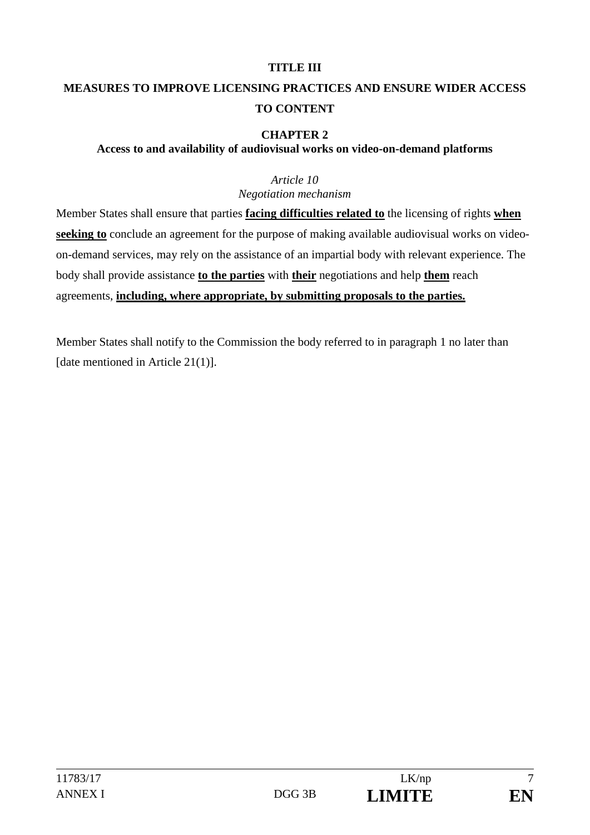## **TITLE III**

# **MEASURES TO IMPROVE LICENSING PRACTICES AND ENSURE WIDER ACCESS TO CONTENT**

# **CHAPTER 2**

**Access to and availability of audiovisual works on video-on-demand platforms**

#### *Article 10 Negotiation mechanism*

Member States shall ensure that parties **facing difficulties related to** the licensing of rights **when seeking to** conclude an agreement for the purpose of making available audiovisual works on videoon-demand services, may rely on the assistance of an impartial body with relevant experience. The body shall provide assistance **to the parties** with **their** negotiations and help **them** reach agreements, **including, where appropriate, by submitting proposals to the parties.** 

Member States shall notify to the Commission the body referred to in paragraph 1 no later than [date mentioned in Article 21(1)].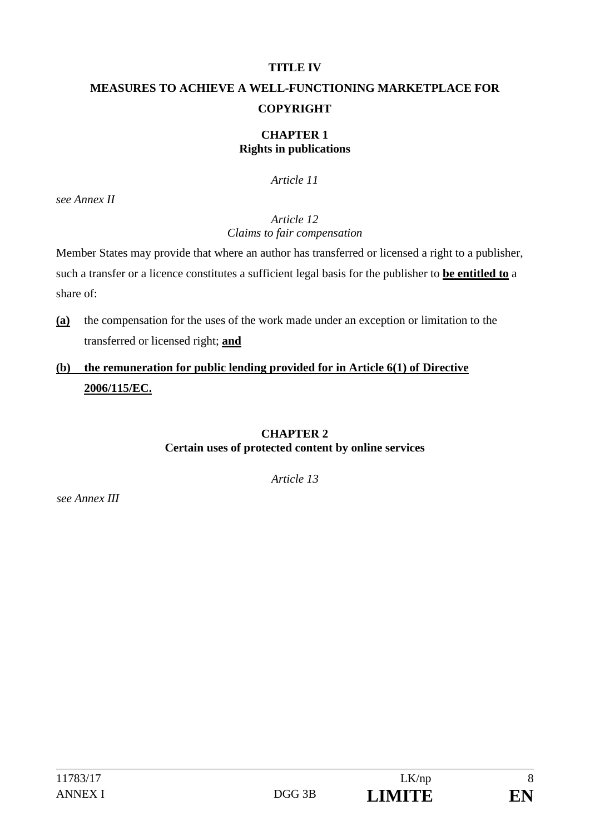#### **TITLE IV**

# **MEASURES TO ACHIEVE A WELL-FUNCTIONING MARKETPLACE FOR COPYRIGHT**

#### **CHAPTER 1 Rights in publications**

*Article 11* 

*see Annex II*

#### *Article 12 Claims to fair compensation*

Member States may provide that where an author has transferred or licensed a right to a publisher, such a transfer or a licence constitutes a sufficient legal basis for the publisher to **be entitled to** a share of:

**(a)** the compensation for the uses of the work made under an exception or limitation to the transferred or licensed right; **and**

# **(b) the remuneration for public lending provided for in Article 6(1) of Directive 2006/115/EC.**

#### **CHAPTER 2 Certain uses of protected content by online services**

*Article 13* 

*see Annex III*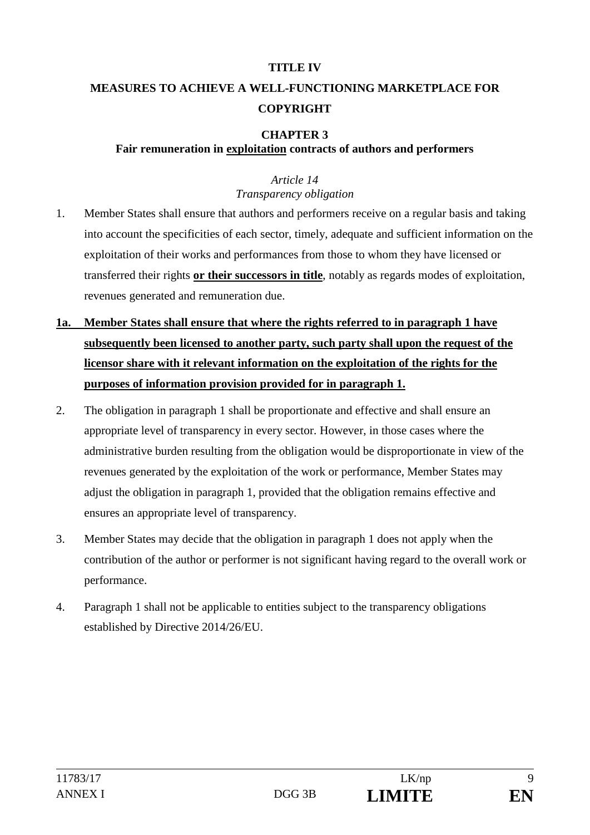## **TITLE IV**

# **MEASURES TO ACHIEVE A WELL-FUNCTIONING MARKETPLACE FOR COPYRIGHT**

## **CHAPTER 3**

# **Fair remuneration in exploitation contracts of authors and performers**

# *Article 14 Transparency obligation*

- 1. Member States shall ensure that authors and performers receive on a regular basis and taking into account the specificities of each sector, timely, adequate and sufficient information on the exploitation of their works and performances from those to whom they have licensed or transferred their rights **or their successors in title**, notably as regards modes of exploitation, revenues generated and remuneration due.
- **1a. Member States shall ensure that where the rights referred to in paragraph 1 have subsequently been licensed to another party, such party shall upon the request of the licensor share with it relevant information on the exploitation of the rights for the purposes of information provision provided for in paragraph 1.**
- 2. The obligation in paragraph 1 shall be proportionate and effective and shall ensure an appropriate level of transparency in every sector. However, in those cases where the administrative burden resulting from the obligation would be disproportionate in view of the revenues generated by the exploitation of the work or performance, Member States may adjust the obligation in paragraph 1, provided that the obligation remains effective and ensures an appropriate level of transparency.
- 3. Member States may decide that the obligation in paragraph 1 does not apply when the contribution of the author or performer is not significant having regard to the overall work or performance.
- 4. Paragraph 1 shall not be applicable to entities subject to the transparency obligations established by Directive 2014/26/EU.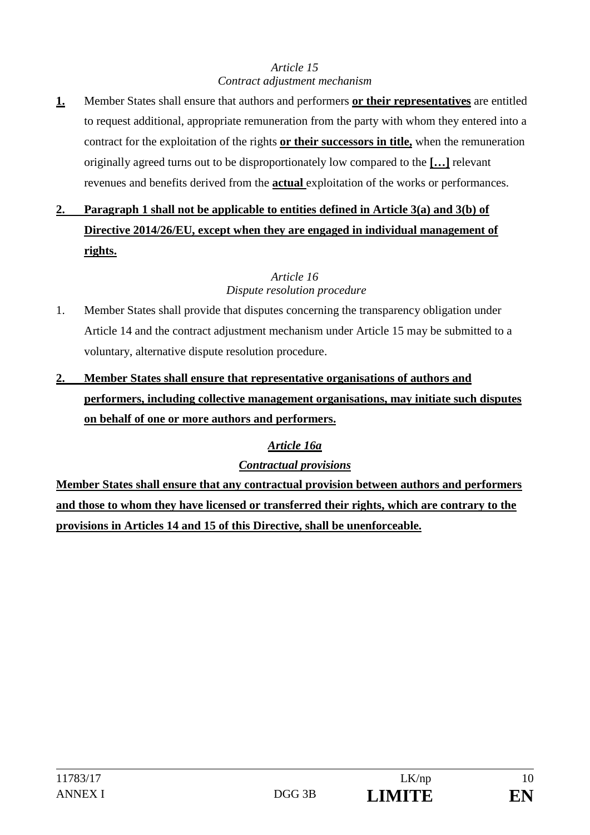## *Article 15 Contract adjustment mechanism*

- **1.** Member States shall ensure that authors and performers **or their representatives** are entitled to request additional, appropriate remuneration from the party with whom they entered into a contract for the exploitation of the rights **or their successors in title,** when the remuneration originally agreed turns out to be disproportionately low compared to the **[…]** relevant revenues and benefits derived from the **actual** exploitation of the works or performances.
- **2. Paragraph 1 shall not be applicable to entities defined in Article 3(a) and 3(b) of Directive 2014/26/EU, except when they are engaged in individual management of rights.**

# *Article 16 Dispute resolution procedure*

- 1. Member States shall provide that disputes concerning the transparency obligation under Article 14 and the contract adjustment mechanism under Article 15 may be submitted to a voluntary, alternative dispute resolution procedure.
- **2. Member States shall ensure that representative organisations of authors and performers, including collective management organisations, may initiate such disputes on behalf of one or more authors and performers.**

# *Article 16a*

# *Contractual provisions*

**Member States shall ensure that any contractual provision between authors and performers and those to whom they have licensed or transferred their rights, which are contrary to the provisions in Articles 14 and 15 of this Directive, shall be unenforceable.**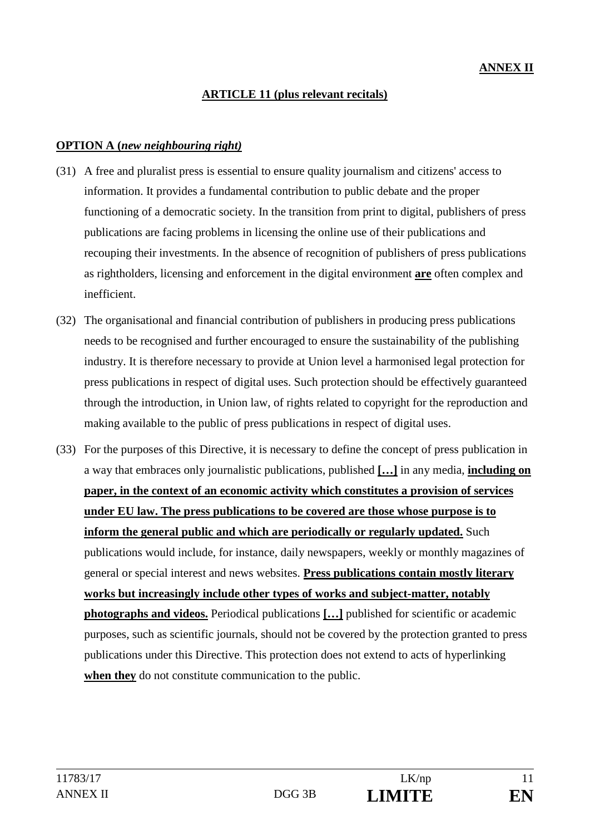#### **ARTICLE 11 (plus relevant recitals)**

#### **OPTION A (***new neighbouring right)*

- (31) A free and pluralist press is essential to ensure quality journalism and citizens' access to information. It provides a fundamental contribution to public debate and the proper functioning of a democratic society. In the transition from print to digital, publishers of press publications are facing problems in licensing the online use of their publications and recouping their investments. In the absence of recognition of publishers of press publications as rightholders, licensing and enforcement in the digital environment **are** often complex and inefficient.
- (32) The organisational and financial contribution of publishers in producing press publications needs to be recognised and further encouraged to ensure the sustainability of the publishing industry. It is therefore necessary to provide at Union level a harmonised legal protection for press publications in respect of digital uses. Such protection should be effectively guaranteed through the introduction, in Union law, of rights related to copyright for the reproduction and making available to the public of press publications in respect of digital uses.
- (33) For the purposes of this Directive, it is necessary to define the concept of press publication in a way that embraces only journalistic publications, published **[…]** in any media, **including on paper, in the context of an economic activity which constitutes a provision of services under EU law. The press publications to be covered are those whose purpose is to inform the general public and which are periodically or regularly updated.** Such publications would include, for instance, daily newspapers, weekly or monthly magazines of general or special interest and news websites. **Press publications contain mostly literary works but increasingly include other types of works and subject-matter, notably photographs and videos.** Periodical publications **[…]** published for scientific or academic purposes, such as scientific journals, should not be covered by the protection granted to press publications under this Directive. This protection does not extend to acts of hyperlinking **when they** do not constitute communication to the public.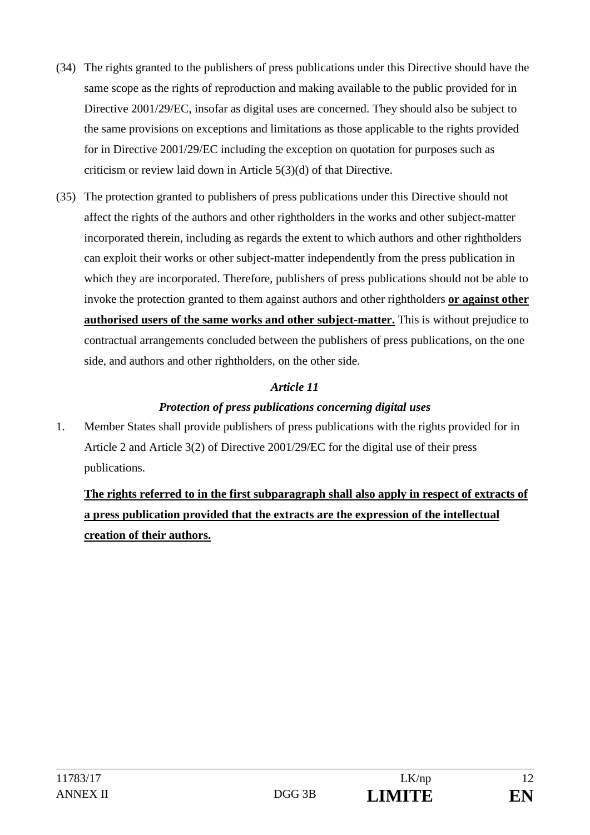- (34) The rights granted to the publishers of press publications under this Directive should have the same scope as the rights of reproduction and making available to the public provided for in Directive 2001/29/EC, insofar as digital uses are concerned. They should also be subject to the same provisions on exceptions and limitations as those applicable to the rights provided for in Directive 2001/29/EC including the exception on quotation for purposes such as criticism or review laid down in Article 5(3)(d) of that Directive.
- (35) The protection granted to publishers of press publications under this Directive should not affect the rights of the authors and other rightholders in the works and other subject-matter incorporated therein, including as regards the extent to which authors and other rightholders can exploit their works or other subject-matter independently from the press publication in which they are incorporated. Therefore, publishers of press publications should not be able to invoke the protection granted to them against authors and other rightholders **or against other authorised users of the same works and other subject-matter.** This is without prejudice to contractual arrangements concluded between the publishers of press publications, on the one side, and authors and other rightholders, on the other side.

# *Article 11*

# *Protection of press publications concerning digital uses*

1. Member States shall provide publishers of press publications with the rights provided for in Article 2 and Article 3(2) of Directive 2001/29/EC for the digital use of their press publications.

**The rights referred to in the first subparagraph shall also apply in respect of extracts of a press publication provided that the extracts are the expression of the intellectual creation of their authors.**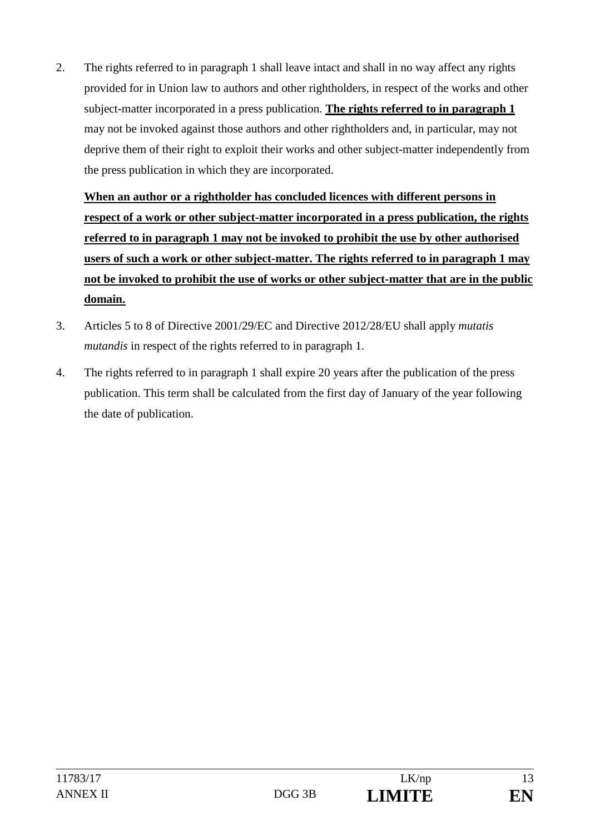2. The rights referred to in paragraph 1 shall leave intact and shall in no way affect any rights provided for in Union law to authors and other rightholders, in respect of the works and other subject-matter incorporated in a press publication. **The rights referred to in paragraph 1** may not be invoked against those authors and other rightholders and, in particular, may not deprive them of their right to exploit their works and other subject-matter independently from the press publication in which they are incorporated.

**When an author or a rightholder has concluded licences with different persons in respect of a work or other subject-matter incorporated in a press publication, the rights referred to in paragraph 1 may not be invoked to prohibit the use by other authorised users of such a work or other subject-matter. The rights referred to in paragraph 1 may not be invoked to prohibit the use of works or other subject-matter that are in the public domain.** 

- 3. Articles 5 to 8 of Directive 2001/29/EC and Directive 2012/28/EU shall apply *mutatis mutandis* in respect of the rights referred to in paragraph 1.
- 4. The rights referred to in paragraph 1 shall expire 20 years after the publication of the press publication. This term shall be calculated from the first day of January of the year following the date of publication.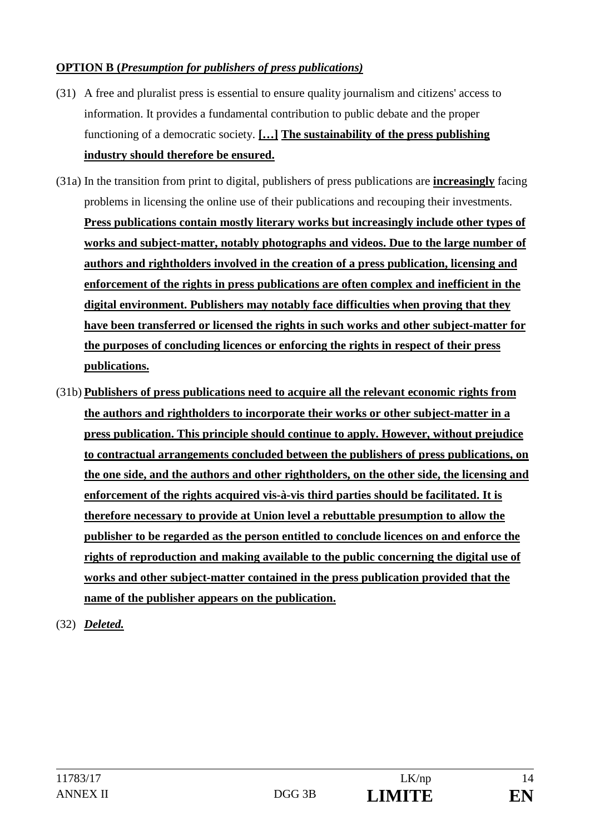## **OPTION B (***Presumption for publishers of press publications)*

- (31) A free and pluralist press is essential to ensure quality journalism and citizens' access to information. It provides a fundamental contribution to public debate and the proper functioning of a democratic society. **[…] The sustainability of the press publishing industry should therefore be ensured.**
- (31a) In the transition from print to digital, publishers of press publications are **increasingly** facing problems in licensing the online use of their publications and recouping their investments. **Press publications contain mostly literary works but increasingly include other types of works and subject-matter, notably photographs and videos. Due to the large number of authors and rightholders involved in the creation of a press publication, licensing and enforcement of the rights in press publications are often complex and inefficient in the digital environment. Publishers may notably face difficulties when proving that they have been transferred or licensed the rights in such works and other subject-matter for the purposes of concluding licences or enforcing the rights in respect of their press publications.**
- (31b) **Publishers of press publications need to acquire all the relevant economic rights from the authors and rightholders to incorporate their works or other subject-matter in a press publication. This principle should continue to apply. However, without prejudice to contractual arrangements concluded between the publishers of press publications, on the one side, and the authors and other rightholders, on the other side, the licensing and enforcement of the rights acquired vis-à-vis third parties should be facilitated. It is therefore necessary to provide at Union level a rebuttable presumption to allow the publisher to be regarded as the person entitled to conclude licences on and enforce the rights of reproduction and making available to the public concerning the digital use of works and other subject-matter contained in the press publication provided that the name of the publisher appears on the publication.**

(32) *Deleted.*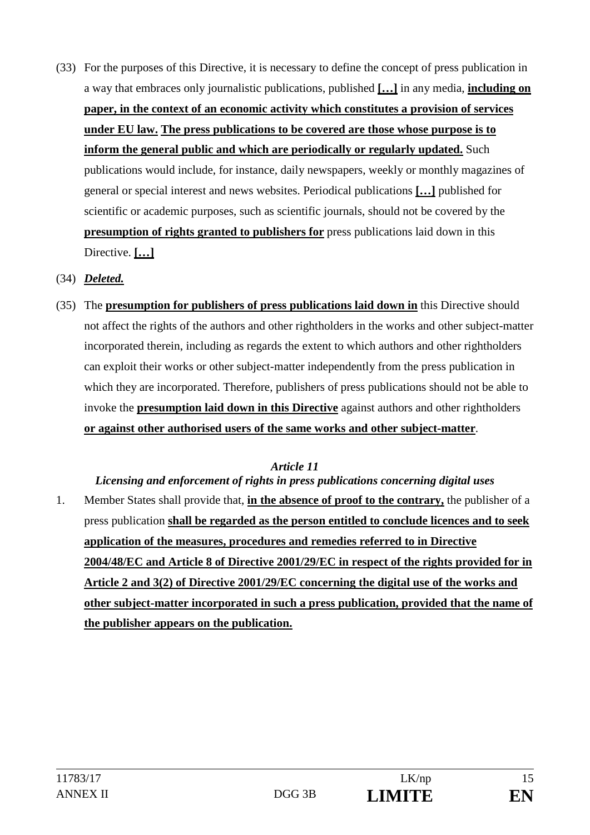(33) For the purposes of this Directive, it is necessary to define the concept of press publication in a way that embraces only journalistic publications, published **[…]** in any media, **including on paper, in the context of an economic activity which constitutes a provision of services under EU law. The press publications to be covered are those whose purpose is to inform the general public and which are periodically or regularly updated.** Such publications would include, for instance, daily newspapers, weekly or monthly magazines of general or special interest and news websites. Periodical publications **[…]** published for scientific or academic purposes, such as scientific journals, should not be covered by the **presumption of rights granted to publishers for** press publications laid down in this Directive. **[…]**

## (34) *Deleted.*

(35) The **presumption for publishers of press publications laid down in** this Directive should not affect the rights of the authors and other rightholders in the works and other subject-matter incorporated therein, including as regards the extent to which authors and other rightholders can exploit their works or other subject-matter independently from the press publication in which they are incorporated. Therefore, publishers of press publications should not be able to invoke the **presumption laid down in this Directive** against authors and other rightholders **or against other authorised users of the same works and other subject-matter**.

## *Article 11*

*Licensing and enforcement of rights in press publications concerning digital uses*  1. Member States shall provide that, **in the absence of proof to the contrary,** the publisher of a press publication **shall be regarded as the person entitled to conclude licences and to seek application of the measures, procedures and remedies referred to in Directive 2004/48/EC and Article 8 of Directive 2001/29/EC in respect of the rights provided for in Article 2 and 3(2) of Directive 2001/29/EC concerning the digital use of the works and other subject-matter incorporated in such a press publication, provided that the name of the publisher appears on the publication.**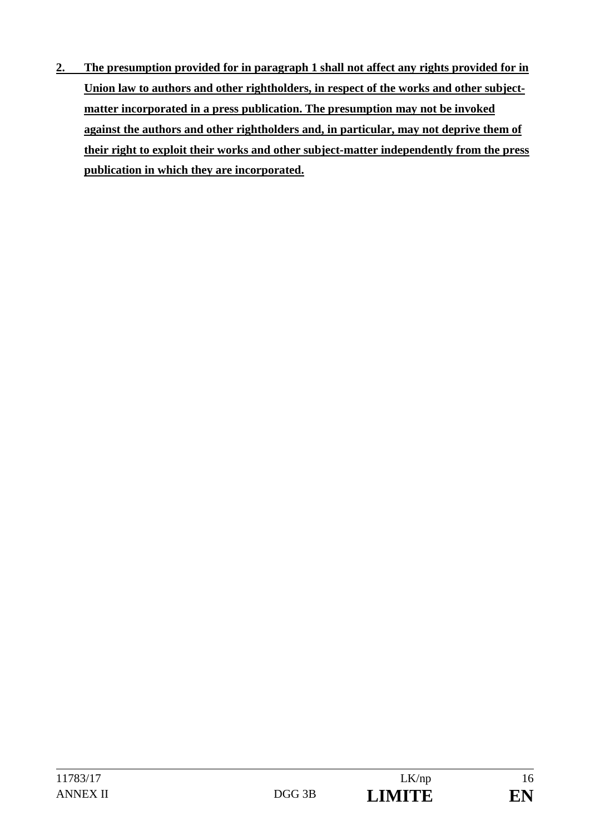**2. The presumption provided for in paragraph 1 shall not affect any rights provided for in Union law to authors and other rightholders, in respect of the works and other subjectmatter incorporated in a press publication. The presumption may not be invoked against the authors and other rightholders and, in particular, may not deprive them of their right to exploit their works and other subject-matter independently from the press publication in which they are incorporated.**

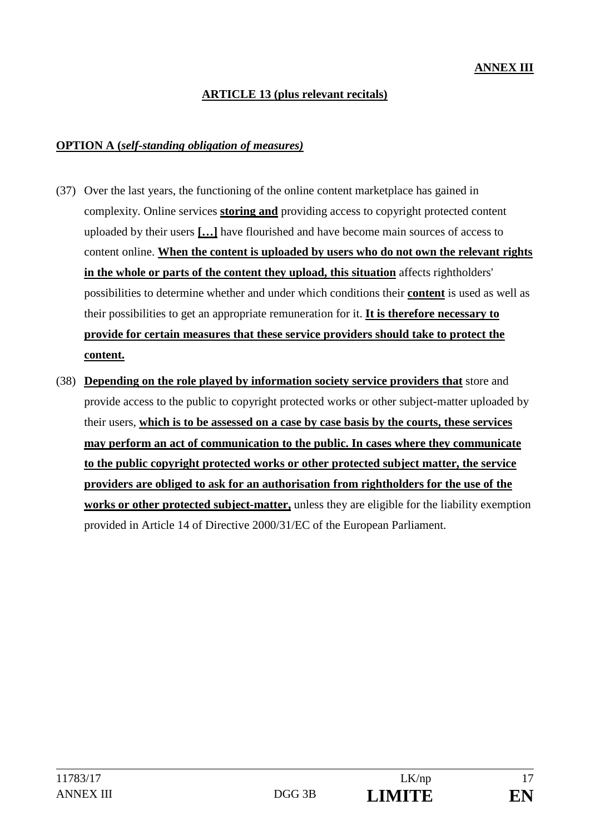#### **ARTICLE 13 (plus relevant recitals)**

#### **OPTION A (***self-standing obligation of measures)*

- (37) Over the last years, the functioning of the online content marketplace has gained in complexity. Online services **storing and** providing access to copyright protected content uploaded by their users **[…]** have flourished and have become main sources of access to content online. **When the content is uploaded by users who do not own the relevant rights in the whole or parts of the content they upload, this situation** affects rightholders' possibilities to determine whether and under which conditions their **content** is used as well as their possibilities to get an appropriate remuneration for it. **It is therefore necessary to provide for certain measures that these service providers should take to protect the content.**
- (38) **Depending on the role played by information society service providers that** store and provide access to the public to copyright protected works or other subject-matter uploaded by their users, **which is to be assessed on a case by case basis by the courts, these services may perform an act of communication to the public. In cases where they communicate to the public copyright protected works or other protected subject matter, the service providers are obliged to ask for an authorisation from rightholders for the use of the works or other protected subject-matter,** unless they are eligible for the liability exemption provided in Article 14 of Directive 2000/31/EC of the European Parliament.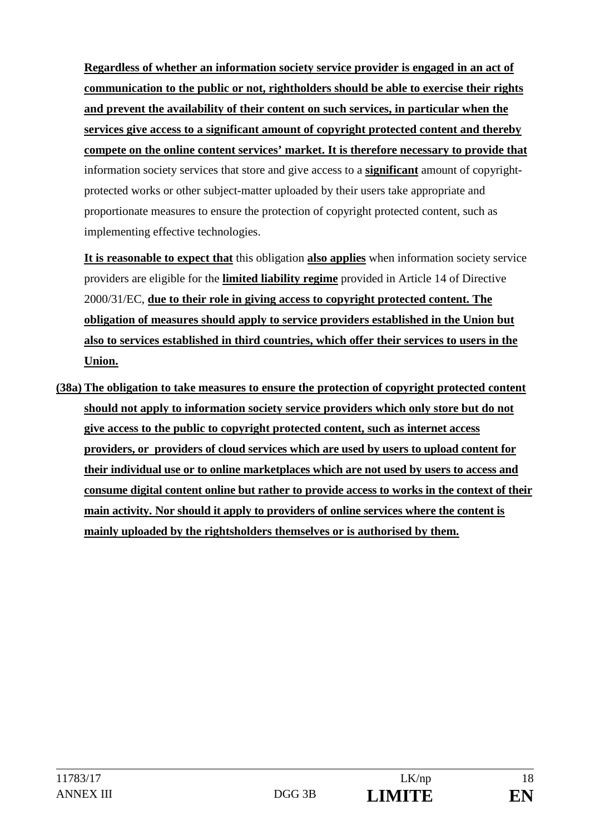**Regardless of whether an information society service provider is engaged in an act of communication to the public or not, rightholders should be able to exercise their rights and prevent the availability of their content on such services, in particular when the services give access to a significant amount of copyright protected content and thereby compete on the online content services' market. It is therefore necessary to provide that** information society services that store and give access to a **significant** amount of copyrightprotected works or other subject-matter uploaded by their users take appropriate and proportionate measures to ensure the protection of copyright protected content, such as implementing effective technologies.

**It is reasonable to expect that** this obligation **also applies** when information society service providers are eligible for the **limited liability regime** provided in Article 14 of Directive 2000/31/EC, **due to their role in giving access to copyright protected content. The obligation of measures should apply to service providers established in the Union but also to services established in third countries, which offer their services to users in the Union.**

**(38a) The obligation to take measures to ensure the protection of copyright protected content should not apply to information society service providers which only store but do not give access to the public to copyright protected content, such as internet access providers, or providers of cloud services which are used by users to upload content for their individual use or to online marketplaces which are not used by users to access and consume digital content online but rather to provide access to works in the context of their main activity. Nor should it apply to providers of online services where the content is mainly uploaded by the rightsholders themselves or is authorised by them.**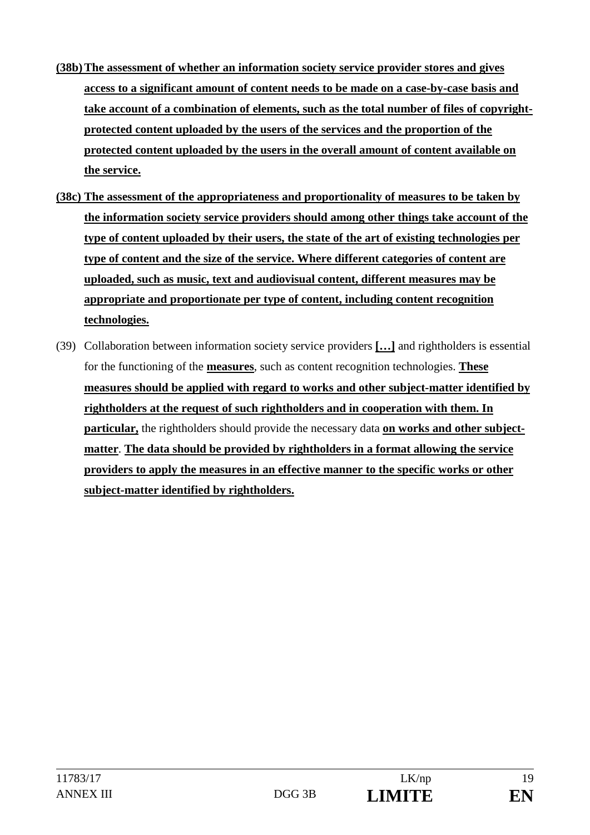- **(38b) The assessment of whether an information society service provider stores and gives access to a significant amount of content needs to be made on a case-by-case basis and take account of a combination of elements, such as the total number of files of copyrightprotected content uploaded by the users of the services and the proportion of the protected content uploaded by the users in the overall amount of content available on the service.**
- **(38c) The assessment of the appropriateness and proportionality of measures to be taken by the information society service providers should among other things take account of the type of content uploaded by their users, the state of the art of existing technologies per type of content and the size of the service. Where different categories of content are uploaded, such as music, text and audiovisual content, different measures may be appropriate and proportionate per type of content, including content recognition technologies.**
- (39) Collaboration between information society service providers **[…]** and rightholders is essential for the functioning of the **measures**, such as content recognition technologies. **These measures should be applied with regard to works and other subject-matter identified by rightholders at the request of such rightholders and in cooperation with them. In particular,** the rightholders should provide the necessary data **on works and other subjectmatter**. **The data should be provided by rightholders in a format allowing the service providers to apply the measures in an effective manner to the specific works or other subject-matter identified by rightholders.**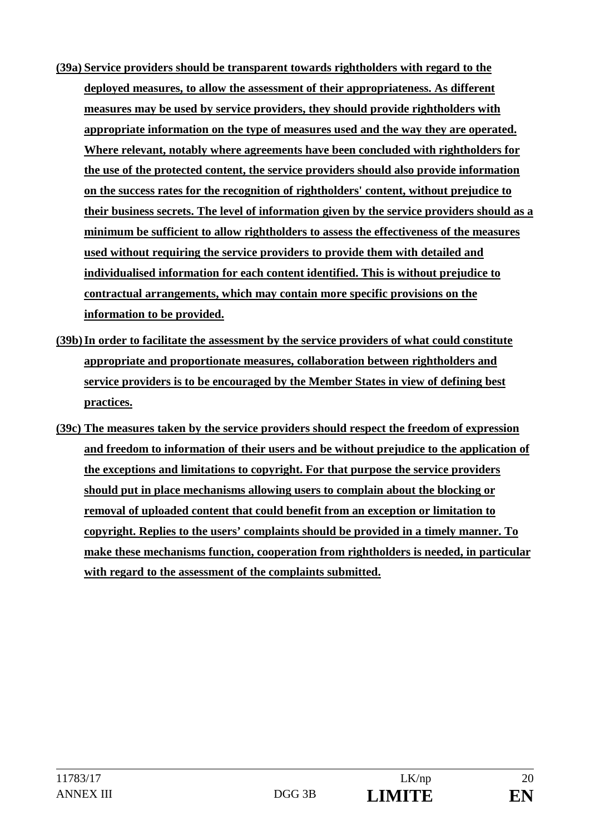- **(39a) Service providers should be transparent towards rightholders with regard to the deployed measures, to allow the assessment of their appropriateness. As different measures may be used by service providers, they should provide rightholders with appropriate information on the type of measures used and the way they are operated. Where relevant, notably where agreements have been concluded with rightholders for the use of the protected content, the service providers should also provide information on the success rates for the recognition of rightholders' content, without prejudice to their business secrets. The level of information given by the service providers should as a minimum be sufficient to allow rightholders to assess the effectiveness of the measures used without requiring the service providers to provide them with detailed and individualised information for each content identified. This is without prejudice to contractual arrangements, which may contain more specific provisions on the information to be provided.**
- **(39b) In order to facilitate the assessment by the service providers of what could constitute appropriate and proportionate measures, collaboration between rightholders and service providers is to be encouraged by the Member States in view of defining best practices.**
- **(39c) The measures taken by the service providers should respect the freedom of expression and freedom to information of their users and be without prejudice to the application of the exceptions and limitations to copyright. For that purpose the service providers should put in place mechanisms allowing users to complain about the blocking or removal of uploaded content that could benefit from an exception or limitation to copyright. Replies to the users' complaints should be provided in a timely manner. To make these mechanisms function, cooperation from rightholders is needed, in particular with regard to the assessment of the complaints submitted.**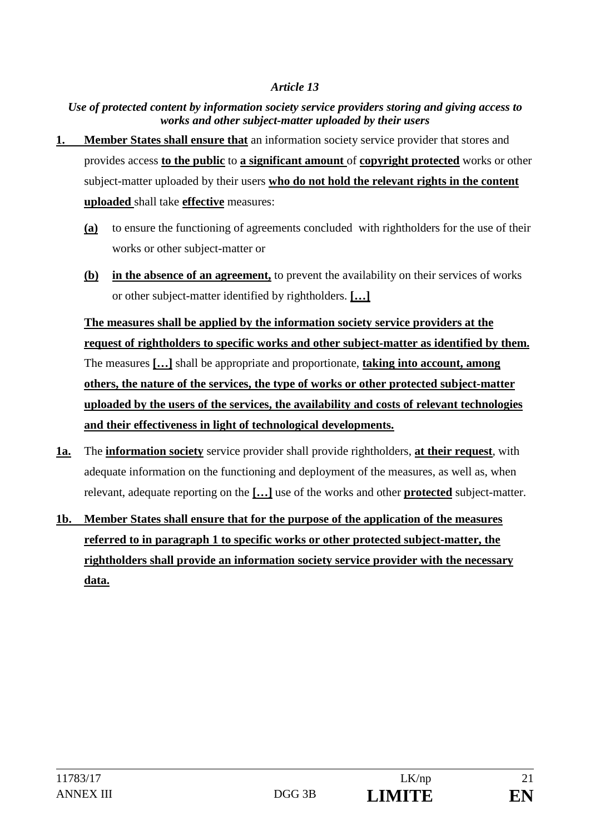#### *Article 13*

## *Use of protected content by information society service providers storing and giving access to works and other subject-matter uploaded by their users*

- **1. Member States shall ensure that** an information society service provider that stores and provides access **to the public** to **a significant amount** of **copyright protected** works or other subject-matter uploaded by their users **who do not hold the relevant rights in the content uploaded** shall take **effective** measures:
	- **(a)** to ensure the functioning of agreements concluded with rightholders for the use of their works or other subject-matter or
	- **(b) in the absence of an agreement,** to prevent the availability on their services of works or other subject-matter identified by rightholders. **[…]**

**The measures shall be applied by the information society service providers at the request of rightholders to specific works and other subject-matter as identified by them.** The measures **[…]** shall be appropriate and proportionate, **taking into account, among others, the nature of the services, the type of works or other protected subject-matter uploaded by the users of the services, the availability and costs of relevant technologies and their effectiveness in light of technological developments.**

- **1a.** The **information society** service provider shall provide rightholders, **at their request**, with adequate information on the functioning and deployment of the measures, as well as, when relevant, adequate reporting on the **[…]** use of the works and other **protected** subject-matter.
- **1b. Member States shall ensure that for the purpose of the application of the measures referred to in paragraph 1 to specific works or other protected subject-matter, the rightholders shall provide an information society service provider with the necessary data.**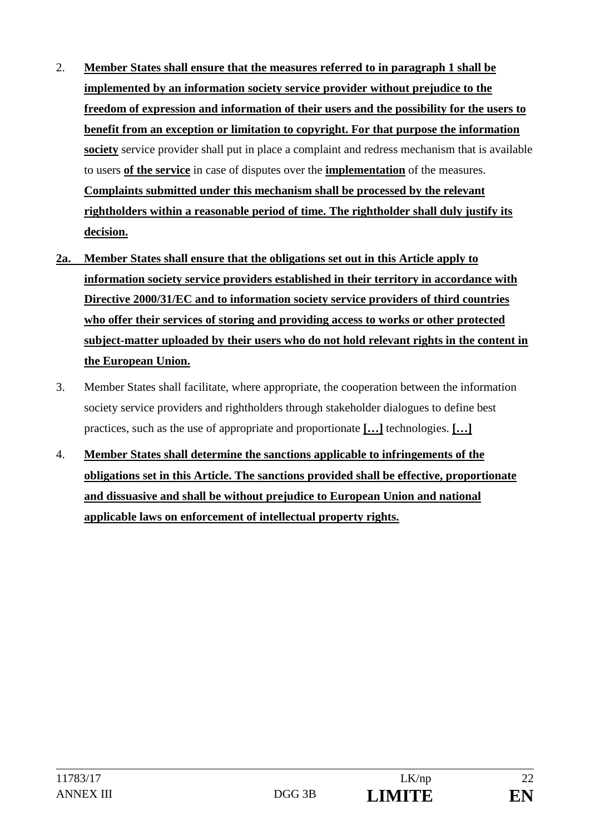- 2. **Member States shall ensure that the measures referred to in paragraph 1 shall be implemented by an information society service provider without prejudice to the freedom of expression and information of their users and the possibility for the users to benefit from an exception or limitation to copyright. For that purpose the information society** service provider shall put in place a complaint and redress mechanism that is available to users **of the service** in case of disputes over the **implementation** of the measures. **Complaints submitted under this mechanism shall be processed by the relevant rightholders within a reasonable period of time. The rightholder shall duly justify its decision.**
- **2a. Member States shall ensure that the obligations set out in this Article apply to information society service providers established in their territory in accordance with Directive 2000/31/EC and to information society service providers of third countries who offer their services of storing and providing access to works or other protected subject-matter uploaded by their users who do not hold relevant rights in the content in the European Union.**
- 3. Member States shall facilitate, where appropriate, the cooperation between the information society service providers and rightholders through stakeholder dialogues to define best practices, such as the use of appropriate and proportionate **[…]** technologies. **[…]**
- 4. **Member States shall determine the sanctions applicable to infringements of the obligations set in this Article. The sanctions provided shall be effective, proportionate and dissuasive and shall be without prejudice to European Union and national applicable laws on enforcement of intellectual property rights.**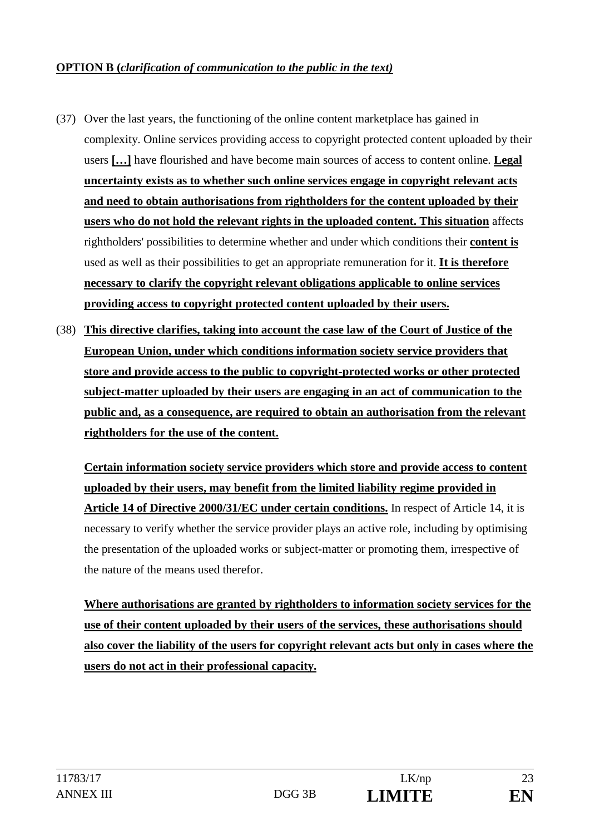## **OPTION B (***clarification of communication to the public in the text)*

- (37) Over the last years, the functioning of the online content marketplace has gained in complexity. Online services providing access to copyright protected content uploaded by their users **[…]** have flourished and have become main sources of access to content online. **Legal uncertainty exists as to whether such online services engage in copyright relevant acts and need to obtain authorisations from rightholders for the content uploaded by their users who do not hold the relevant rights in the uploaded content. This situation** affects rightholders' possibilities to determine whether and under which conditions their **content is** used as well as their possibilities to get an appropriate remuneration for it. **It is therefore necessary to clarify the copyright relevant obligations applicable to online services providing access to copyright protected content uploaded by their users.**
- (38) **This directive clarifies, taking into account the case law of the Court of Justice of the European Union, under which conditions information society service providers that store and provide access to the public to copyright-protected works or other protected subject-matter uploaded by their users are engaging in an act of communication to the public and, as a consequence, are required to obtain an authorisation from the relevant rightholders for the use of the content.**

**Certain information society service providers which store and provide access to content uploaded by their users, may benefit from the limited liability regime provided in Article 14 of Directive 2000/31/EC under certain conditions.** In respect of Article 14, it is necessary to verify whether the service provider plays an active role, including by optimising the presentation of the uploaded works or subject-matter or promoting them, irrespective of the nature of the means used therefor.

**Where authorisations are granted by rightholders to information society services for the use of their content uploaded by their users of the services, these authorisations should also cover the liability of the users for copyright relevant acts but only in cases where the users do not act in their professional capacity.**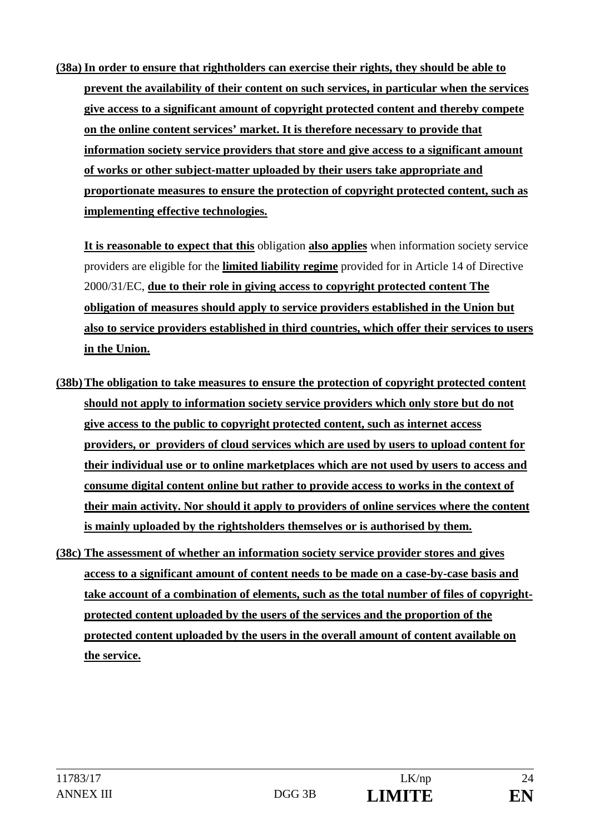**(38a) In order to ensure that rightholders can exercise their rights, they should be able to prevent the availability of their content on such services, in particular when the services give access to a significant amount of copyright protected content and thereby compete on the online content services' market. It is therefore necessary to provide that information society service providers that store and give access to a significant amount of works or other subject-matter uploaded by their users take appropriate and proportionate measures to ensure the protection of copyright protected content, such as implementing effective technologies.** 

**It is reasonable to expect that this** obligation **also applies** when information society service providers are eligible for the **limited liability regime** provided for in Article 14 of Directive 2000/31/EC, **due to their role in giving access to copyright protected content The obligation of measures should apply to service providers established in the Union but also to service providers established in third countries, which offer their services to users in the Union.**

- **(38b) The obligation to take measures to ensure the protection of copyright protected content should not apply to information society service providers which only store but do not give access to the public to copyright protected content, such as internet access providers, or providers of cloud services which are used by users to upload content for their individual use or to online marketplaces which are not used by users to access and consume digital content online but rather to provide access to works in the context of their main activity. Nor should it apply to providers of online services where the content is mainly uploaded by the rightsholders themselves or is authorised by them.**
- **(38c) The assessment of whether an information society service provider stores and gives access to a significant amount of content needs to be made on a case-by-case basis and take account of a combination of elements, such as the total number of files of copyrightprotected content uploaded by the users of the services and the proportion of the protected content uploaded by the users in the overall amount of content available on the service.**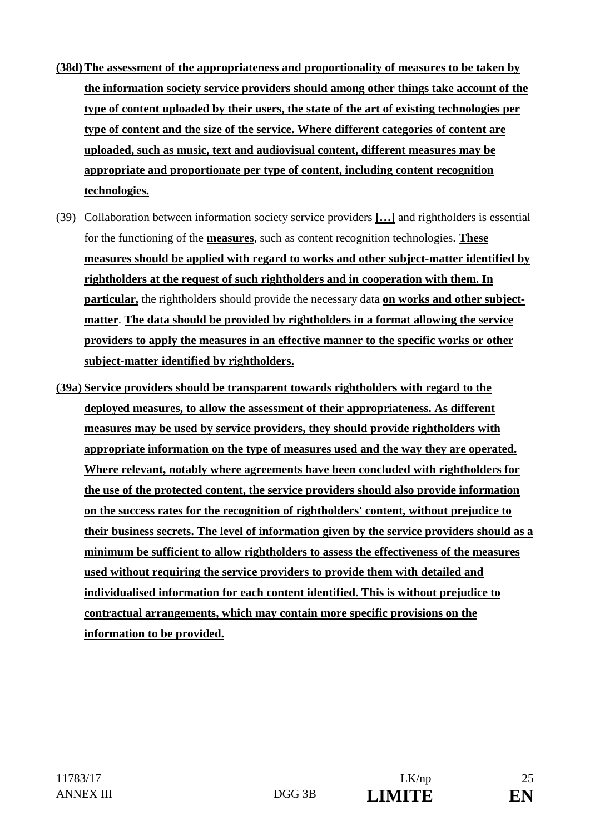- **(38d) The assessment of the appropriateness and proportionality of measures to be taken by the information society service providers should among other things take account of the type of content uploaded by their users, the state of the art of existing technologies per type of content and the size of the service. Where different categories of content are uploaded, such as music, text and audiovisual content, different measures may be appropriate and proportionate per type of content, including content recognition technologies.**
- (39) Collaboration between information society service providers **[…]** and rightholders is essential for the functioning of the **measures**, such as content recognition technologies. **These measures should be applied with regard to works and other subject-matter identified by rightholders at the request of such rightholders and in cooperation with them. In particular,** the rightholders should provide the necessary data **on works and other subjectmatter**. **The data should be provided by rightholders in a format allowing the service providers to apply the measures in an effective manner to the specific works or other subject-matter identified by rightholders.**
- **(39a) Service providers should be transparent towards rightholders with regard to the deployed measures, to allow the assessment of their appropriateness. As different measures may be used by service providers, they should provide rightholders with appropriate information on the type of measures used and the way they are operated. Where relevant, notably where agreements have been concluded with rightholders for the use of the protected content, the service providers should also provide information on the success rates for the recognition of rightholders' content, without prejudice to their business secrets. The level of information given by the service providers should as a minimum be sufficient to allow rightholders to assess the effectiveness of the measures used without requiring the service providers to provide them with detailed and individualised information for each content identified. This is without prejudice to contractual arrangements, which may contain more specific provisions on the information to be provided.**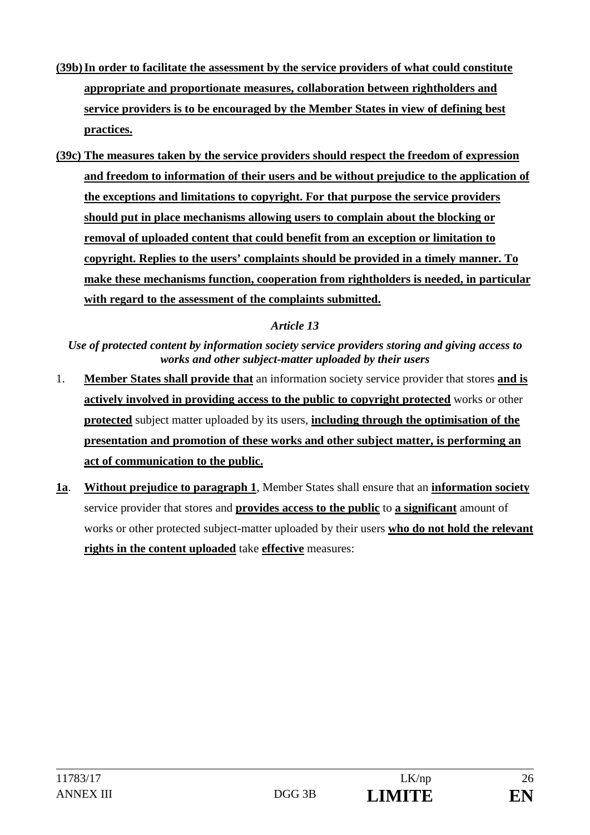- **(39b) In order to facilitate the assessment by the service providers of what could constitute appropriate and proportionate measures, collaboration between rightholders and service providers is to be encouraged by the Member States in view of defining best practices.**
- **(39c) The measures taken by the service providers should respect the freedom of expression and freedom to information of their users and be without prejudice to the application of the exceptions and limitations to copyright. For that purpose the service providers should put in place mechanisms allowing users to complain about the blocking or removal of uploaded content that could benefit from an exception or limitation to copyright. Replies to the users' complaints should be provided in a timely manner. To make these mechanisms function, cooperation from rightholders is needed, in particular with regard to the assessment of the complaints submitted.**

# *Article 13*

*Use of protected content by information society service providers storing and giving access to works and other subject-matter uploaded by their users* 

- 1. **Member States shall provide that** an information society service provider that stores **and is actively involved in providing access to the public to copyright protected** works or other **protected** subject matter uploaded by its users, **including through the optimisation of the presentation and promotion of these works and other subject matter, is performing an act of communication to the public.**
- **1a**. **Without prejudice to paragraph 1**, Member States shall ensure that an **information society** service provider that stores and **provides access to the public** to **a significant** amount of works or other protected subject-matter uploaded by their users **who do not hold the relevant rights in the content uploaded** take **effective** measures: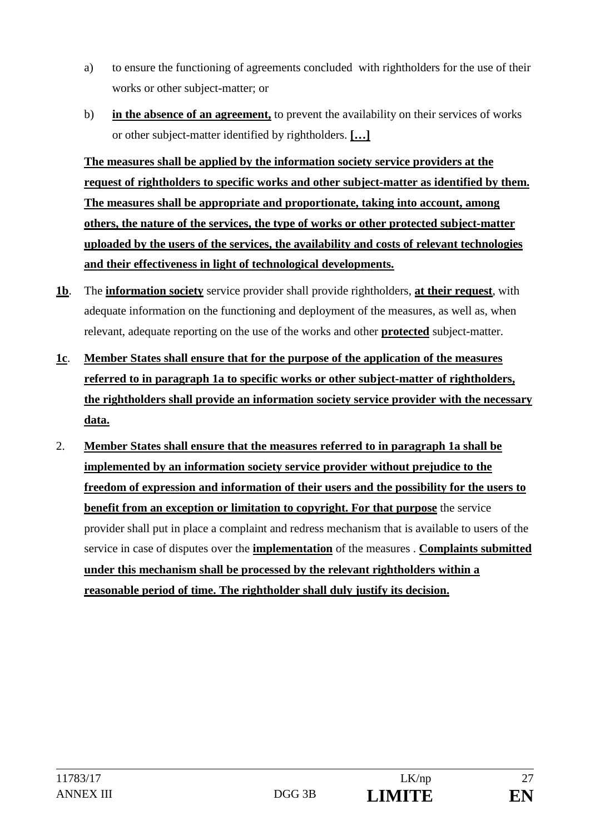- a) to ensure the functioning of agreements concluded with rightholders for the use of their works or other subject-matter; or
- b) **in the absence of an agreement,** to prevent the availability on their services of works or other subject-matter identified by rightholders. **[…]**

**The measures shall be applied by the information society service providers at the request of rightholders to specific works and other subject-matter as identified by them. The measures shall be appropriate and proportionate, taking into account, among others, the nature of the services, the type of works or other protected subject-matter uploaded by the users of the services, the availability and costs of relevant technologies and their effectiveness in light of technological developments.** 

- **1b**. The **information society** service provider shall provide rightholders, **at their request**, with adequate information on the functioning and deployment of the measures, as well as, when relevant, adequate reporting on the use of the works and other **protected** subject-matter.
- **1c**. **Member States shall ensure that for the purpose of the application of the measures referred to in paragraph 1a to specific works or other subject-matter of rightholders, the rightholders shall provide an information society service provider with the necessary data.**
- 2. **Member States shall ensure that the measures referred to in paragraph 1a shall be implemented by an information society service provider without prejudice to the freedom of expression and information of their users and the possibility for the users to benefit from an exception or limitation to copyright. For that purpose** the service provider shall put in place a complaint and redress mechanism that is available to users of the service in case of disputes over the **implementation** of the measures . **Complaints submitted under this mechanism shall be processed by the relevant rightholders within a reasonable period of time. The rightholder shall duly justify its decision.**